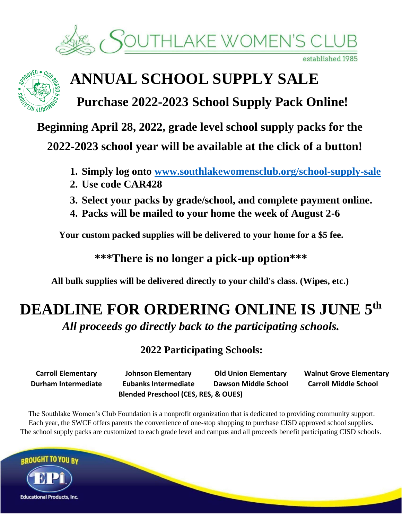



## **ANNUAL SCHOOL SUPPLY SALE**

**Purchase 2022-2023 School Supply Pack Online!** 

**Beginning April 28, 2022, grade level school supply packs for the** 

**2022-2023 school year will be available at the click of a button!** 

- **1. Simply log ont[o](http://www.southlakewomensclub.org/school-supply-sale) [www.southlakewomensclub.org/school-supply-sale](http://www.southlakewomensclub.org/school-supply-sale)**
- **2. Use code CAR428**
- **3. Select your packs by grade/school, and complete payment online.**
- **4. Packs will be mailed to your home the week of August 2-6**

**Your custom packed supplies will be delivered to your home for a \$5 fee.** 

**\*\*\*There is no longer a pick-up option\*\*\*** 

**All bulk supplies will be delivered directly to your child's class. (Wipes, etc.)** 

## **DEADLINE FOR ORDERING ONLINE IS JUNE 5 th** *All proceeds go directly back to the participating schools.*

**2022 Participating Schools:** 

**Carroll Elementary Johnson Elementary Old Union Elementary Walnut Grove Elementary Durham Intermediate Eubanks Intermediate Dawson Middle School Carroll Middle School Blended Preschool (CES, RES, & OUES)** 

The Southlake Women's Club Foundation is a nonprofit organization that is dedicated to providing community support. Each year, the SWCF offers parents the convenience of one-stop shopping to purchase CISD approved school supplies. The school supply packs are customized to each grade level and campus and all proceeds benefit participating CISD schools.